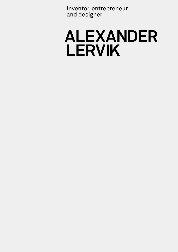Inventor, entrepreneur and designer

## **ALEXANDER LERVIK**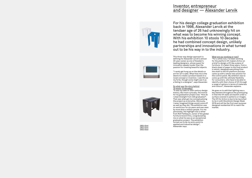This three-way design approach is defining for Alexander Lervik's almost 20-year career as one of Sweden's leading designers, whose quest for innovation speaks louder than the passion for creating beautiful objects.

"I rarely get hung up on the details or desire to create a product based on a

art-for-art's sake. What fires me is the novel concept or invention. I see this as my forte, though some might see it as a failing in a designer", says Alexander.

So what was the story behind 10 stools 10 decades? "It was my take on 20th century design history. But more cynically, the motive for my graduation project was: 'How do I steal limelight from 400 graduates?'. That was what got me conceptualising the project as a storyline. Obviously, I never imagined things would come off as well as they did. The exhibition was on world tour for six years and was seen by more than a million people. For me personally, the highlight was a letter from Rolf Fehlbaum, owner of the global furniture brand Vitra, congratulating me on what he saw as an exceptional graduation project. The exhibition turned out to be my entry point to applied and industrial design", Alexander says.

He goes on to add that lighting was a key element throughout the prototyping in that the lift walls are backlit under a surface covered in patterns or images. The lift for Aritco is due to be launched to tie in with Stockholm Design Week 2016 and will be the first-ever purposedesigned residential lift to reach the market.

### Inventor, entrepreneur and designer — Alexander Lervik







What are you working on now? "For a while now, I've been working for the platform lift-makers Aritco on a brief to design a lift like a piece of furniture. It's taken three years, from a blank sheet of paper to the final product in which I designed everything from the shaft to the lift platform and also came up with a whole new solution for the control panel. My ambition was to come up with the ultimate flexibility for consumers, who have to be able to identify with their choice of lift through a range of options in terms of materials and colours", Alexander explains.

For his design college graduation exhibition back in 1998, Alexander Lervik at the tendaer age of 26 had unknowingly hit on what was to become his winning concept. With his exhibition 10 stools 10 decades he had combined concept design, unlikely partnerships and innovations in what turned out to be his way in to the industry.

1990's Stool 1980's Stool 1900's Stool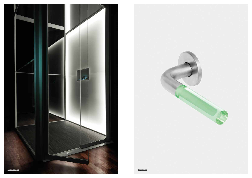

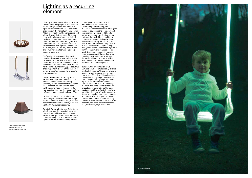Lighting is a key element in a number of Alexander Lervik projects. It all started with a red-green LED door handle. In April 2001 Bright Handle was shown to the public at the home furnishing fair in Milan. Inspired by traffic lights combined with a 'Do not disturb' sign of the kind seen on hotel room doors, Lervik had designed a door handle that communicated by means of coloured lights. The door handle was a global success with articles in the world press such as the NY Times, Herald Tribune, Taipei Times and Frankfurter Allgemeine Zeitung, to name but a few.

"In Sweden, the Skugga ('Shadow') candle stick was the best-seller on the retail market. This was the result of an invitation from Galleri Pascal to show a piece at an exhibition themed on Advent. As the candle burns in Skugga, a beautiful shadow pattern is cast on the table, like a star 'waxing' as the candle 'wanes'", says Alexander.

In 2007, Alexander Lervik's lighting exhibition Enlightment, shown at the Röhsska Museum in Gothenburg, Sweden, was an experiment in applying what at that time was cutting-edge light-emitting diode technology to 18 new designs. This was the first exhibition in Sweden based specifically on LEDs.

"This was the exact point when LED technology had advanced to the stage where it could be used as a light source. This exhibition established my brand in light art", Alexander recounts.

Swedish TV ran a feature on Enlightment which was seen by the art director at the savings and investments provider Skandia. She got in touch with Alexander, commissioning him to create a work of light art for the Skandia headquarters.

### Lighting as a recurring <u>element</u>







"I was given carte blanche to do whatever I wanted. I started researching the company, and discovered that there were a lot of good things to say about the company, and that the widely publicised Skandia corporate scandal was just so much water under the bridge. I decided to create a work symbolising the then 1,800 employees by means of 1,740 heads illuminated in colour by LEDs in a 3x3x3-metre cube. I'd previously designed a dance floor for the nightclub V in Stockholm, and realised I could apply the same technology, but this time, stack several 'dance floors' on top of each other to create a threedimensional imaging screen, which was the result in the commission for Skandia", Alexander explains.

2013 saw the presentation of La Lumière au Chocolat; basically, a lamp made of chocolate. "It started with me asking myself "Can you make a lamp that gives off no light?". I realised that the answer was going to be something that changes form, going from dark to light. I'm an infamous chocoholic, so that's how I came up with the design medium. The lamp shade is made of chocolate, which melts as the bulb heats up, and the melted chocolate is caught at the base of the lamp where it sets and can be broken off in chunks and eaten. After that, you can buy a replacement shade. A video showing the lamp in action went viral, and after a month, had been viewed more than 400,000 times", says Alexander.

Shadow Candleholder Sense Lightswing La Lumière au Chocolat

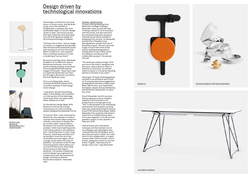Technology is a distinctly recurring factor in Lervik's work, and My Brain Lamp, one of the exhibits in Enlightment, is perhaps the most remarkable object in Lervik's design career to date. The auction house that later listed the work described it as the first signature design for 3D printing technology in Sweden.

"During a trip to Asia, I saw an image of a brain in a magazine and decided that all those kinks and bends would look amazing lit up from the inside. When it came to it, I also realised that it would be awesome if it was a rendering of my own brain".

No sooner said than done: Alexander booked in for an MR brain scan at Karolinska Institutet, one of the world's leading medical universities. The scan generated 300 layered images of his brain. These were used to create the 3D file that was then put through a 3D printer to produce the final 'My Brain Lamp'.

The Lucy folding table, which received the Red Dot Award 2013, is another example of technologydriven design:

"I wanted to reinvent the folding table. In this design, the innovation is in the tension on the table legs, which locks them into place when either folded out or flat".

For Stockholm Design Week 2016, Absolut Art will be launching a revolutionary art wall-mounting system designed by Alexander Lervik.

"In autumn 2014, I was contacted by Absolut Art who wanted to create a concept that would make it easier for ordinary consumers to display fine art on their walls. I had an idea in the back of my mind for solving the problem I often had of getting works of art lined up level on an exhibition wall. I would hammer in a nail, hang the work, stand back and then end up having to move the nail a few centimetres and look again, which is tough on the walls and a test of patience. The solution is the XX wall mounting system which allows you to screw-fit the mount, then hang the artwork and then align it perfectly. The system is patented and the design was engineered in collaboration with the mechanical design consultancy Svensk Konstruktionstjänst", Alexander says.

Unlikely collaborations 15 years after graduating from Beckman's College of Design, Alexander came up with the idea of doing a sequel to his first project with the stools, but this time he'd be commissioning other people to interpret his products instead of designing from scratch. So Alexander phoned five of Sweden's top photographers and got them all on board the project. He even ventured to get in touch with some of the world's leading photographers, mailing them to ask if they would be willing to contribute to the collaborative project. The answer was yes.

"The brief was simple enough; 'Pick any one of the chairs I designed over the years, take a photo in which it features in some way. You decide where to place it; it could be standing behind a container if you want'".

The project 15 chairs 15 photographers resulted in an exhibition and a book of 15 uniquely distinctive images from photographers the likes of Mary Ellen Mark, Martin Parr, Lynn Goldsmith, Vee Speers, Dawid, Gunnar Smoliansky and Annika Von Hausswolff, to name but a few.

One of Alexander Lervik's success factors appears to be a complete inability to limit himself or his projects and a strong urge to say "Yes" to the prospect of an interesting partnership. One example would be when the celebrated Swedish fashion brand Fifth Avenue Shoe Repair asked Alexander if he would be interested in some form of collaborative project. It all came together in the 3D-printed jewellery shown on the catwalk in February 2010.

"Astrid Olsson and I did textile mockups and then handed over to my colleague Joel Hesselgren who computerised the 3D designs which were then printed in metal. As a neat twist to this collaboration, a couple of years later, Fifth's founder, Astrid Olsson, designed a throw for my own brand, Tingest. I like that kind of design cross-over," says Alexander.



### <u>Design driven by</u> <u>technological innovations</u>







My Brain Lamp Absolut Art <u>Photo by Martin Parr /</u> 15x15x15 project





Absolut Art 3D printed Jewelery for Fifth Avenue Shoe Repair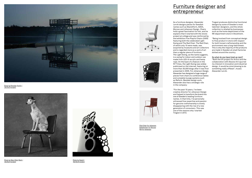

Photo by Brendan Austin / 15x15x15 project



<u>Photo by Mary Ellen Mark /</u> 15x15x15 project



<u>Photo by Dawid /</u> 15x15x15 project

# **entrepreneur**







As a furniture designer, Alexander Lervik designs pieces for Swedish names such as Skandiform, ADEA, Moroso and Johanson Design. Chairs hold a great fascination for him, and he explains that it started with the stools project at college and was reinforced by the exhibition Five Playful Chairs (2005) featuring both the celebrated Light Swing and The Red Chair. The Red Chair, of which only 10 were made, was acquired by museums and art collectors and is regarded more as a work of art than a regular piece of furniture. The Light Swing, as the name suggests, is a swing for indoor and outdoor use made from LED-lit acrylic and hemp rope. On the back of a feature in the NY Times, the Light Swing was widely publicised on the internet, featuring on more than 30,000 blogs after it was first presented in 2005. For Johanson Design, Alexander has designed a huge range of pieces from chairs to conference tables and complete lounge systems such as Reform. Besides design work, Alexander also has a strategic role in the company:

"For the past 10 years, I've been creative director for Johanson Design and helped to transform the brand into one of Sweden's leading furniture names. In that time, I've personally witnessed how expertise and passion for genuine craftsmanship is slowly disappearing with the rise of a new generation of consumers. This was one of the reasons why I started Tingest in 2013.

Tingest produces distinctive functional designs by some of Sweden's most talented designers, and the whole collection is retailed by businesses such as the home department of the NK department store in Stockholm.

"Being involved from conceptual design to final product in store with respect for both honest craftsmanship and the environment was a long-held dream. This is why the majority of the products are made in Sweden at small factories dotted around the country.

So what do you have lined up next? "Both the lift project for Aritco and the collaboration with Absolut Art spurred my interest in innovation and industrial design. It would be mind-blowing to do something really offbeat", muses Alexander Lervik.

## Furniture designer and

Pilot Chair for Johanson Bubblechair for Moroso Rib for Johanson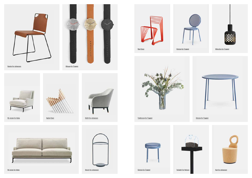Mr Jones for Adea





Spike Chair











می به این است که از این است که از این است که به این است که از این است که از این است که از این است که از این اس<br>این است که از این است که از این است که از این است که از این است که از این است که از این است که از این است که ا







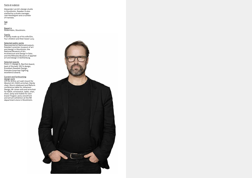#### Facts at a glance

Alexander Lervik's design studio in Stockholm, Sweden is also staffed by a studio manager, Joel Hesselgren and a number of trainees.

Age 44

Based in Södermalm, Stockholm.

Family A family made up of his wife Elin, four children and their boxer Lucy.

#### Current and forthcoming <u>design work</u>

Selected public works Represented at Nationalmuseum, Sweden's premier museum of art and design in Stockholm; the National Museum of Art, Architecture and Design in Oslo; and the Röhsska Museum of applied art and design in Gothenburg.

Selected awards Form +1, Design S, Red Dot Award, best of the best 100 % design, Excellent Swedish Design, Svenska ljuspriset (lighting excellence award).

Lift for Aritco; art wall-mount for Absolut Art; Edith armchair, Dandy chair, Storm sideboard and Reform conference table for Johanson Design; Mr Jones sofa and armchair for ADEA; wristwatch, table, chair, stool, lamp and mobile for ownbrand Tingest; and a storefront and atrium exhibition at the NK department store in Stockholm.